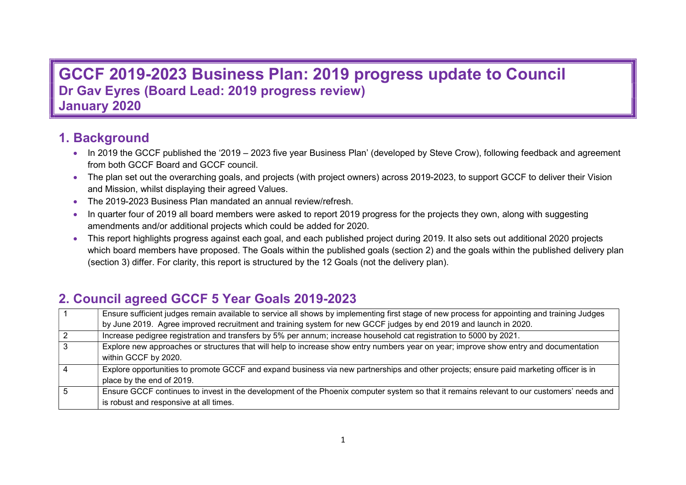# **GCCF 2019-2023 Business Plan: 2019 progress update to Council Dr Gav Eyres (Board Lead: 2019 progress review) January 2020**

# **1. Background**

- In 2019 the GCCF published the '2019 2023 five year Business Plan' (developed by Steve Crow), following feedback and agreement from both GCCF Board and GCCF council.
- The plan set out the overarching goals, and projects (with project owners) across 2019-2023, to support GCCF to deliver their Vision and Mission, whilst displaying their agreed Values.
- The 2019-2023 Business Plan mandated an annual review/refresh.
- In quarter four of 2019 all board members were asked to report 2019 progress for the projects they own, along with suggesting amendments and/or additional projects which could be added for 2020.
- This report highlights progress against each goal, and each published project during 2019. It also sets out additional 2020 projects which board members have proposed. The Goals within the published goals (section 2) and the goals within the published delivery plan (section 3) differ. For clarity, this report is structured by the 12 Goals (not the delivery plan).

# **2. Council agreed GCCF 5 Year Goals 2019-2023**

|                | Ensure sufficient judges remain available to service all shows by implementing first stage of new process for appointing and training Judges                                        |
|----------------|-------------------------------------------------------------------------------------------------------------------------------------------------------------------------------------|
|                | by June 2019. Agree improved recruitment and training system for new GCCF judges by end 2019 and launch in 2020.                                                                    |
| $\overline{2}$ | Increase pedigree registration and transfers by 5% per annum; increase household cat registration to 5000 by 2021.                                                                  |
| $\overline{3}$ | Explore new approaches or structures that will help to increase show entry numbers year on year; improve show entry and documentation<br>within GCCF by 2020.                       |
|                | Explore opportunities to promote GCCF and expand business via new partnerships and other projects; ensure paid marketing officer is in<br>place by the end of 2019.                 |
| i 5            | Ensure GCCF continues to invest in the development of the Phoenix computer system so that it remains relevant to our customers' needs and<br>is robust and responsive at all times. |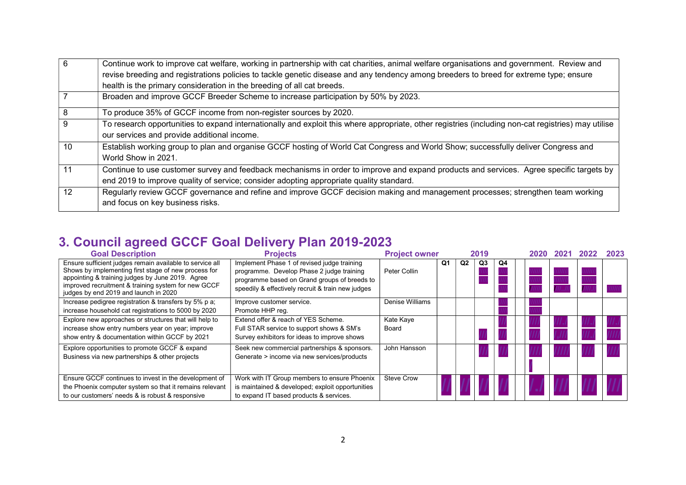| 6  | Continue work to improve cat welfare, working in partnership with cat charities, animal welfare organisations and government. Review and            |
|----|-----------------------------------------------------------------------------------------------------------------------------------------------------|
|    | revise breeding and registrations policies to tackle genetic disease and any tendency among breeders to breed for extreme type; ensure              |
|    | health is the primary consideration in the breeding of all cat breeds.                                                                              |
|    | Broaden and improve GCCF Breeder Scheme to increase participation by 50% by 2023.                                                                   |
| 8  | To produce 35% of GCCF income from non-register sources by 2020.                                                                                    |
| 9  | To research opportunities to expand internationally and exploit this where appropriate, other registries (including non-cat registries) may utilise |
|    | our services and provide additional income.                                                                                                         |
| 10 | Establish working group to plan and organise GCCF hosting of World Cat Congress and World Show; successfully deliver Congress and                   |
|    | World Show in 2021.                                                                                                                                 |
| 11 | Continue to use customer survey and feedback mechanisms in order to improve and expand products and services. Agree specific targets by             |
|    | end 2019 to improve quality of service; consider adopting appropriate quality standard.                                                             |
| 12 | Regularly review GCCF governance and refine and improve GCCF decision making and management processes; strengthen team working                      |
|    | and focus on key business risks.                                                                                                                    |

# **3. Council agreed GCCF Goal Delivery Plan 2019-2023**

| <b>Goal Description</b>                                                                                                                                                                                                                                              | <b>Projects</b>                                                                                                                                                                               | <b>Project owner</b> |    |                | 2019 |    | 2020 | 2022 | 2023 |
|----------------------------------------------------------------------------------------------------------------------------------------------------------------------------------------------------------------------------------------------------------------------|-----------------------------------------------------------------------------------------------------------------------------------------------------------------------------------------------|----------------------|----|----------------|------|----|------|------|------|
| Ensure sufficient judges remain available to service all<br>Shows by implementing first stage of new process for<br>appointing & training judges by June 2019. Agree<br>improved recruitment & training system for new GCCF<br>judges by end 2019 and launch in 2020 | Implement Phase 1 of revised judge training<br>programme. Develop Phase 2 judge training<br>programme based on Grand groups of breeds to<br>speedily & effectively recruit & train new judges | Peter Collin         | Q1 | Q <sub>2</sub> | Q3   | Q4 |      |      |      |
| Increase pedigree registration & transfers by 5% p a;<br>increase household cat registrations to 5000 by 2020                                                                                                                                                        | Improve customer service.<br>Promote HHP reg.                                                                                                                                                 | Denise Williams      |    |                |      |    |      |      |      |
| Explore new approaches or structures that will help to<br>increase show entry numbers year on year; improve<br>show entry & documentation within GCCF by 2021                                                                                                        | Extend offer & reach of YES Scheme.<br>Full STAR service to support shows & SM's<br>Survey exhibitors for ideas to improve shows                                                              | Kate Kaye<br>Board   |    |                |      |    |      |      |      |
| Explore opportunities to promote GCCF & expand<br>Business via new partnerships & other projects                                                                                                                                                                     | Seek new commercial partnerships & sponsors.<br>Generate > income via new services/products                                                                                                   | John Hansson         |    |                |      |    |      |      |      |
| Ensure GCCF continues to invest in the development of<br>the Phoenix computer system so that it remains relevant<br>to our customers' needs & is robust & responsive                                                                                                 | Work with IT Group members to ensure Phoenix<br>is maintained & developed; exploit opportunities<br>to expand IT based products & services.                                                   | Steve Crow           |    |                |      |    |      |      |      |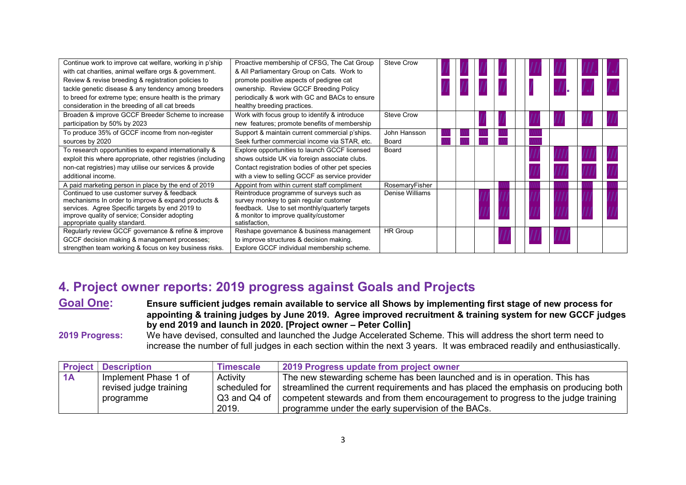| Continue work to improve cat welfare, working in p'ship     | Proactive membership of CFSG, The Cat Group      | <b>Steve Crow</b> |  |  |  |  |  |
|-------------------------------------------------------------|--------------------------------------------------|-------------------|--|--|--|--|--|
| with cat charities, animal welfare orgs & government.       | & All Parliamentary Group on Cats. Work to       |                   |  |  |  |  |  |
| Review & revise breeding & registration policies to         | promote positive aspects of pedigree cat         |                   |  |  |  |  |  |
| tackle genetic disease & any tendency among breeders        | ownership. Review GCCF Breeding Policy           |                   |  |  |  |  |  |
| to breed for extreme type; ensure health is the primary     | periodically & work with GC and BACs to ensure   |                   |  |  |  |  |  |
| consideration in the breeding of all cat breeds             | healthy breeding practices.                      |                   |  |  |  |  |  |
| Broaden & improve GCCF Breeder Scheme to increase           | Work with focus group to identify & introduce    | <b>Steve Crow</b> |  |  |  |  |  |
| participation by 50% by 2023                                | new features; promote benefits of membership     |                   |  |  |  |  |  |
| To produce 35% of GCCF income from non-register             | Support & maintain current commercial p'ships.   | John Hansson      |  |  |  |  |  |
| sources by 2020                                             | Seek further commercial income via STAR, etc.    | Board             |  |  |  |  |  |
| To research opportunities to expand internationally &       | Explore opportunities to launch GCCF licensed    | Board             |  |  |  |  |  |
| exploit this where appropriate, other registries (including | shows outside UK via foreign associate clubs.    |                   |  |  |  |  |  |
| non-cat registries) may utilise our services & provide      | Contact registration bodies of other pet species |                   |  |  |  |  |  |
| additional income.                                          | with a view to selling GCCF as service provider  |                   |  |  |  |  |  |
| A paid marketing person in place by the end of 2019         | Appoint from within current staff compliment     | RosemaryFisher    |  |  |  |  |  |
| Continued to use customer survey & feedback                 | Reintroduce programme of surveys such as         | Denise Williams   |  |  |  |  |  |
| mechanisms In order to improve & expand products &          | survey monkey to gain regular customer           |                   |  |  |  |  |  |
| services. Agree Specific targets by end 2019 to             | feedback. Use to set monthly/quarterly targets   |                   |  |  |  |  |  |
| improve quality of service; Consider adopting               | & monitor to improve quality/customer            |                   |  |  |  |  |  |
| appropriate quality standard.                               | satisfaction,                                    |                   |  |  |  |  |  |
| Regularly review GCCF governance & refine & improve         | Reshape governance & business management         | <b>HR Group</b>   |  |  |  |  |  |
| GCCF decision making & management processes;                | to improve structures & decision making.         |                   |  |  |  |  |  |
| strengthen team working & focus on key business risks.      | Explore GCCF individual membership scheme.       |                   |  |  |  |  |  |

# **4. Project owner reports: 2019 progress against Goals and Projects**

**Goal One: Ensure sufficient judges remain available to service all Shows by implementing first stage of new process for appointing & training judges by June 2019. Agree improved recruitment & training system for new GCCF judges by end 2019 and launch in 2020. [Project owner – Peter Collin]**

**2019 Progress:** We have devised, consulted and launched the Judge Accelerated Scheme. This will address the short term need to increase the number of full judges in each section within the next 3 years. It was embraced readily and enthusiastically.

|    | <b>Project Description</b> | <b>Timescale</b> | 2019 Progress update from project owner                                            |
|----|----------------------------|------------------|------------------------------------------------------------------------------------|
| 1A | Implement Phase 1 of       | Activity         | The new stewarding scheme has been launched and is in operation. This has          |
|    | revised judge training     | scheduled for    | streamlined the current requirements and has placed the emphasis on producing both |
|    | programme                  | Q3 and Q4 of     | competent stewards and from them encouragement to progress to the judge training   |
|    |                            | 2019.            | programme under the early supervision of the BACs.                                 |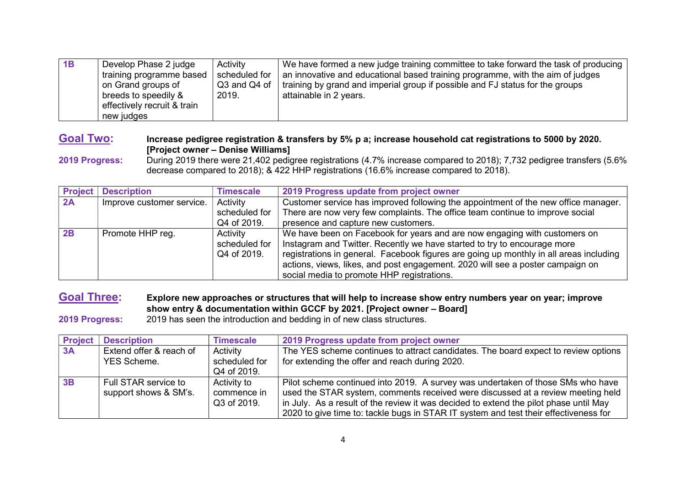| 1B | Develop Phase 2 judge<br>training programme based<br>on Grand groups of<br>breeds to speedily &<br>effectively recruit & train<br>new judges | Activity<br>scheduled for<br>Q3 and Q4 of<br>2019. | We have formed a new judge training committee to take forward the task of producing<br>an innovative and educational based training programme, with the aim of judges<br>$\frac{1}{2}$ training by grand and imperial group if possible and FJ status for the groups<br>attainable in 2 years. |
|----|----------------------------------------------------------------------------------------------------------------------------------------------|----------------------------------------------------|------------------------------------------------------------------------------------------------------------------------------------------------------------------------------------------------------------------------------------------------------------------------------------------------|
|----|----------------------------------------------------------------------------------------------------------------------------------------------|----------------------------------------------------|------------------------------------------------------------------------------------------------------------------------------------------------------------------------------------------------------------------------------------------------------------------------------------------------|

### **Goal Two: Increase pedigree registration & transfers by 5% p a; increase household cat registrations to 5000 by 2020. [Project owner – Denise Williams]**

**2019 Progress:** During 2019 there were 21,402 pedigree registrations (4.7% increase compared to 2018); 7,732 pedigree transfers (5.6% decrease compared to 2018); & 422 HHP registrations (16.6% increase compared to 2018).

| <b>Project</b> | <b>Description</b>        | <b>Timescale</b> | 2019 Progress update from project owner                                                |
|----------------|---------------------------|------------------|----------------------------------------------------------------------------------------|
| 2A             | Improve customer service. | Activity         | Customer service has improved following the appointment of the new office manager.     |
|                |                           | scheduled for    | There are now very few complaints. The office team continue to improve social          |
|                |                           | Q4 of 2019.      | presence and capture new customers.                                                    |
| 2B             | Promote HHP reg.          | Activity         | We have been on Facebook for years and are now engaging with customers on              |
|                |                           | scheduled for    | Instagram and Twitter. Recently we have started to try to encourage more               |
|                |                           | Q4 of 2019.      | registrations in general. Facebook figures are going up monthly in all areas including |
|                |                           |                  | actions, views, likes, and post engagement. 2020 will see a poster campaign on         |
|                |                           |                  | social media to promote HHP registrations.                                             |

**Goal Three: Explore new approaches or structures that will help to increase show entry numbers year on year; improve show entry & documentation within GCCF by 2021. [Project owner – Board]** 

**2019 Progress:** 2019 has seen the introduction and bedding in of new class structures.

| <b>Project</b> | <b>Description</b>                            | <b>Timescale</b>                          | 2019 Progress update from project owner                                                                                                                                                                                                                                                                                                             |
|----------------|-----------------------------------------------|-------------------------------------------|-----------------------------------------------------------------------------------------------------------------------------------------------------------------------------------------------------------------------------------------------------------------------------------------------------------------------------------------------------|
| 3A             | Extend offer & reach of<br><b>YES Scheme.</b> | Activity<br>scheduled for<br>Q4 of 2019.  | The YES scheme continues to attract candidates. The board expect to review options<br>for extending the offer and reach during 2020.                                                                                                                                                                                                                |
| 3B             | Full STAR service to<br>support shows & SM's. | Activity to<br>commence in<br>Q3 of 2019. | Pilot scheme continued into 2019. A survey was undertaken of those SMs who have<br>used the STAR system, comments received were discussed at a review meeting held<br>in July. As a result of the review it was decided to extend the pilot phase until May<br>2020 to give time to: tackle bugs in STAR IT system and test their effectiveness for |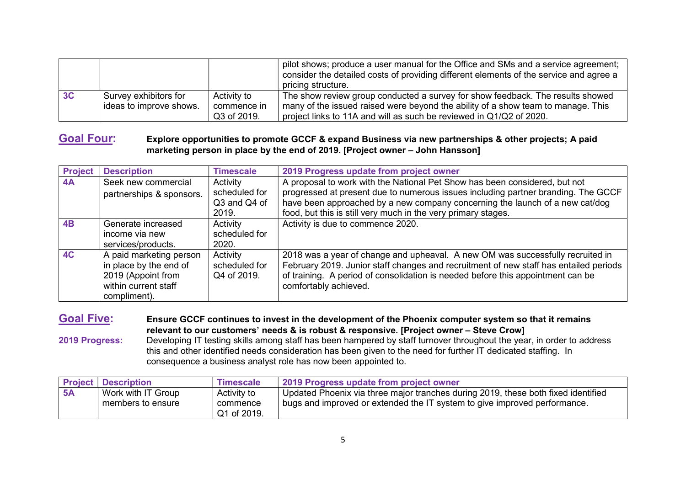|    |                                                  |                                           | pilot shows; produce a user manual for the Office and SMs and a service agreement;<br>consider the detailed costs of providing different elements of the service and agree a<br>pricing structure.                                        |
|----|--------------------------------------------------|-------------------------------------------|-------------------------------------------------------------------------------------------------------------------------------------------------------------------------------------------------------------------------------------------|
| 3C | Survey exhibitors for<br>ideas to improve shows. | Activity to<br>commence in<br>Q3 of 2019. | The show review group conducted a survey for show feedback. The results showed<br>many of the issued raised were beyond the ability of a show team to manage. This<br>project links to 11A and will as such be reviewed in Q1/Q2 of 2020. |

#### **Goal Four: Explore opportunities to promote GCCF & expand Business via new partnerships & other projects; A paid marketing person in place by the end of 2019. [Project owner – John Hansson]**

| <b>Project</b> | <b>Description</b>                                                                                              | <b>Timescale</b>                                   | 2019 Progress update from project owner                                                                                                                                                                                                                                                                          |
|----------------|-----------------------------------------------------------------------------------------------------------------|----------------------------------------------------|------------------------------------------------------------------------------------------------------------------------------------------------------------------------------------------------------------------------------------------------------------------------------------------------------------------|
| 4A             | Seek new commercial<br>partnerships & sponsors.                                                                 | Activity<br>scheduled for<br>Q3 and Q4 of<br>2019. | A proposal to work with the National Pet Show has been considered, but not<br>progressed at present due to numerous issues including partner branding. The GCCF<br>have been approached by a new company concerning the launch of a new cat/dog<br>food, but this is still very much in the very primary stages. |
| 4B             | Generate increased<br>income via new<br>services/products.                                                      | Activity<br>scheduled for<br>2020.                 | Activity is due to commence 2020.                                                                                                                                                                                                                                                                                |
| <b>4C</b>      | A paid marketing person<br>in place by the end of<br>2019 (Appoint from<br>within current staff<br>compliment). | Activity<br>scheduled for<br>Q4 of 2019.           | 2018 was a year of change and upheaval. A new OM was successfully recruited in<br>February 2019. Junior staff changes and recruitment of new staff has entailed periods<br>of training. A period of consolidation is needed before this appointment can be<br>comfortably achieved.                              |

**Goal Five: Ensure GCCF continues to invest in the development of the Phoenix computer system so that it remains relevant to our customers' needs & is robust & responsive. [Project owner – Steve Crow] 2019 Progress:** Developing IT testing skills among staff has been hampered by staff turnover throughout the year, in order to address this and other identified needs consideration has been given to the need for further IT dedicated staffing. In consequence a business analyst role has now been appointed to.

|    | <b>Project   Description</b> | <b>Timescale</b>        | 2019 Progress update from project owner                                           |
|----|------------------------------|-------------------------|-----------------------------------------------------------------------------------|
| 5A | Work with IT Group           | Activity to             | Updated Phoenix via three major tranches during 2019, these both fixed identified |
|    | members to ensure            | commence<br>Q1 of 2019. | bugs and improved or extended the IT system to give improved performance.         |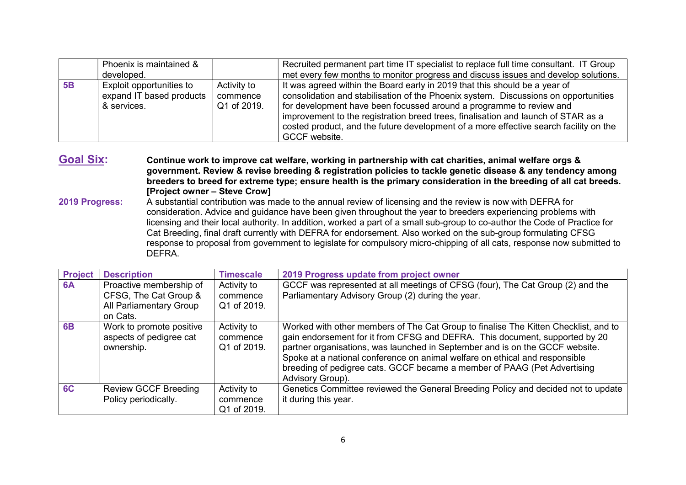|    | Phoenix is maintained &  |             | Recruited permanent part time IT specialist to replace full time consultant. IT Group |
|----|--------------------------|-------------|---------------------------------------------------------------------------------------|
|    | developed.               |             | met every few months to monitor progress and discuss issues and develop solutions.    |
| 5B | Exploit opportunities to | Activity to | It was agreed within the Board early in 2019 that this should be a year of            |
|    | expand IT based products | commence    | consolidation and stabilisation of the Phoenix system. Discussions on opportunities   |
|    | & services.              | Q1 of 2019. | for development have been focussed around a programme to review and                   |
|    |                          |             | improvement to the registration breed trees, finalisation and launch of STAR as a     |
|    |                          |             | costed product, and the future development of a more effective search facility on the |
|    |                          |             | GCCF website.                                                                         |

**Goal Six: Continue work to improve cat welfare, working in partnership with cat charities, animal welfare orgs & government. Review & revise breeding & registration policies to tackle genetic disease & any tendency among breeders to breed for extreme type; ensure health is the primary consideration in the breeding of all cat breeds. [Project owner – Steve Crow]** 

**2019 Progress:** A substantial contribution was made to the annual review of licensing and the review is now with DEFRA for consideration. Advice and guidance have been given throughout the year to breeders experiencing problems with licensing and their local authority. In addition, worked a part of a small sub-group to co-author the Code of Practice for Cat Breeding, final draft currently with DEFRA for endorsement. Also worked on the sub-group formulating CFSG response to proposal from government to legislate for compulsory micro-chipping of all cats, response now submitted to **DEFRA** 

| <b>Project</b> | <b>Description</b>                                                                      | <b>Timescale</b>                       | 2019 Progress update from project owner                                                                                                                                                                                                                                                                                                                                                                                           |  |
|----------------|-----------------------------------------------------------------------------------------|----------------------------------------|-----------------------------------------------------------------------------------------------------------------------------------------------------------------------------------------------------------------------------------------------------------------------------------------------------------------------------------------------------------------------------------------------------------------------------------|--|
| 6A             | Proactive membership of<br>CFSG, The Cat Group &<br>All Parliamentary Group<br>on Cats. | Activity to<br>commence<br>Q1 of 2019. | GCCF was represented at all meetings of CFSG (four), The Cat Group (2) and the<br>Parliamentary Advisory Group (2) during the year.                                                                                                                                                                                                                                                                                               |  |
| <b>6B</b>      | Work to promote positive<br>aspects of pedigree cat<br>ownership.                       | Activity to<br>commence<br>Q1 of 2019. | Worked with other members of The Cat Group to finalise The Kitten Checklist, and to<br>gain endorsement for it from CFSG and DEFRA. This document, supported by 20<br>partner organisations, was launched in September and is on the GCCF website.<br>Spoke at a national conference on animal welfare on ethical and responsible<br>breeding of pedigree cats. GCCF became a member of PAAG (Pet Advertising<br>Advisory Group). |  |
| 6C             | <b>Review GCCF Breeding</b><br>Policy periodically.                                     | Activity to<br>commence<br>Q1 of 2019. | Genetics Committee reviewed the General Breeding Policy and decided not to update<br>it during this year.                                                                                                                                                                                                                                                                                                                         |  |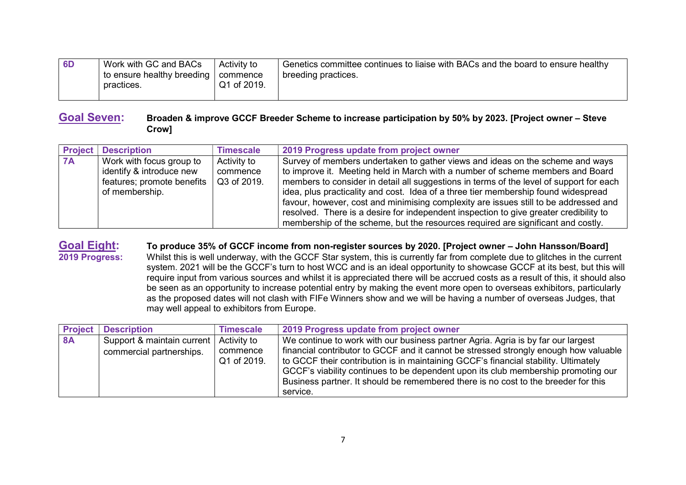| 6 <sub>D</sub> | Work with GC and BACs                                 | Activity to | Genetics committee continues to liaise with BACs and the board to ensure healthy |
|----------------|-------------------------------------------------------|-------------|----------------------------------------------------------------------------------|
|                | I to ensure healthy breeding   commence<br>practices. | Q1 of 2019. | breeding practices.                                                              |
|                |                                                       |             |                                                                                  |

#### **Goal Seven: Broaden & improve GCCF Breeder Scheme to increase participation by 50% by 2023. [Project owner – Steve Crow]**

| <b>Project</b> | <b>Description</b>                                                                                   | <b>Timescale</b>                       | 2019 Progress update from project owner                                                                                                                                                                                                                                                                                                                                                                                                                                                                                                                                                                               |
|----------------|------------------------------------------------------------------------------------------------------|----------------------------------------|-----------------------------------------------------------------------------------------------------------------------------------------------------------------------------------------------------------------------------------------------------------------------------------------------------------------------------------------------------------------------------------------------------------------------------------------------------------------------------------------------------------------------------------------------------------------------------------------------------------------------|
| <b>7A</b>      | Work with focus group to<br>identify & introduce new<br>features; promote benefits<br>of membership. | Activity to<br>commence<br>Q3 of 2019. | Survey of members undertaken to gather views and ideas on the scheme and ways<br>to improve it. Meeting held in March with a number of scheme members and Board<br>members to consider in detail all suggestions in terms of the level of support for each<br>idea, plus practicality and cost. Idea of a three tier membership found widespread<br>favour, however, cost and minimising complexity are issues still to be addressed and<br>resolved. There is a desire for independent inspection to give greater credibility to<br>membership of the scheme, but the resources required are significant and costly. |

# **Goal Eight:** To produce 35% of GCCF income from non-register sources by 2020. [Project owner – John Hansson/Board]<br>**2019 Progress:** Whilst this is well underway, with the GCCF Star system, this is currently far from compl

**2019 Progress:** Whilst this is well underway, with the GCCF Star system, this is currently far from complete due to glitches in the current system. 2021 will be the GCCF's turn to host WCC and is an ideal opportunity to showcase GCCF at its best, but this will require input from various sources and whilst it is appreciated there will be accrued costs as a result of this, it should also be seen as an opportunity to increase potential entry by making the event more open to overseas exhibitors, particularly as the proposed dates will not clash with FIFe Winners show and we will be having a number of overseas Judges, that may well appeal to exhibitors from Europe.

| <b>Project</b> | <b>Description</b>         | <b>Timescale</b>        | 2019 Progress update from project owner                                                                                                                                                                                                                                                                                                                            |
|----------------|----------------------------|-------------------------|--------------------------------------------------------------------------------------------------------------------------------------------------------------------------------------------------------------------------------------------------------------------------------------------------------------------------------------------------------------------|
| <b>8A</b>      | Support & maintain current | Activity to             | We continue to work with our business partner Agria. Agria is by far our largest                                                                                                                                                                                                                                                                                   |
|                | commercial partnerships.   | commence<br>Q1 of 2019. | financial contributor to GCCF and it cannot be stressed strongly enough how valuable<br>to GCCF their contribution is in maintaining GCCF's financial stability. Ultimately<br>GCCF's viability continues to be dependent upon its club membership promoting our<br>Business partner. It should be remembered there is no cost to the breeder for this<br>service. |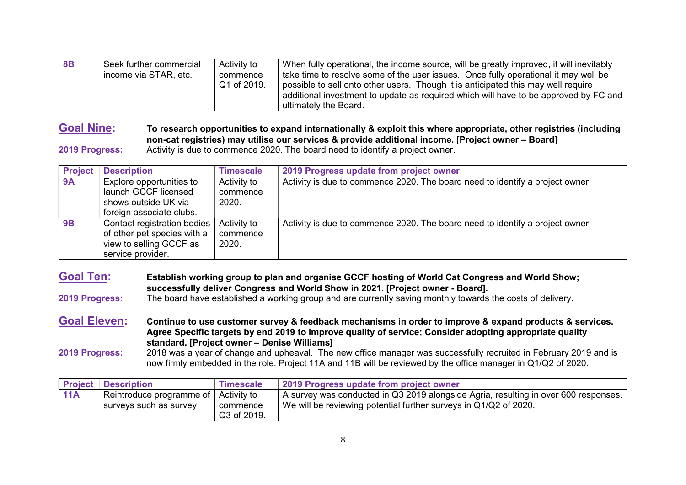| 8B | Seek further commercial<br>income via STAR, etc. | Activity to<br>commence<br>Q1 of 2019. | When fully operational, the income source, will be greatly improved, it will inevitably<br>take time to resolve some of the user issues. Once fully operational it may well be<br>possible to sell onto other users. Though it is anticipated this may well require<br>additional investment to update as required which will have to be approved by FC and |
|----|--------------------------------------------------|----------------------------------------|-------------------------------------------------------------------------------------------------------------------------------------------------------------------------------------------------------------------------------------------------------------------------------------------------------------------------------------------------------------|
|    |                                                  |                                        | ultimately the Board.                                                                                                                                                                                                                                                                                                                                       |

# **Goal Nine: To research opportunities to expand internationally & exploit this where appropriate, other registries (including non-cat registries) may utilise our services & provide additional income. [Project owner – Board]**

**2019 Progress:** Activity is due to commence 2020. The board need to identify a project owner.

| <b>Project</b> | <b>Description</b>                                                                                         | <b>Timescale</b>                 | 2019 Progress update from project owner                                       |
|----------------|------------------------------------------------------------------------------------------------------------|----------------------------------|-------------------------------------------------------------------------------|
| <b>9A</b>      | Explore opportunities to<br>launch GCCF licensed<br>shows outside UK via<br>foreign associate clubs.       | Activity to<br>commence<br>2020. | Activity is due to commence 2020. The board need to identify a project owner. |
| 9B             | Contact registration bodies<br>of other pet species with a<br>view to selling GCCF as<br>service provider. | Activity to<br>commence<br>2020. | Activity is due to commence 2020. The board need to identify a project owner. |

**Goal Ten: Establish working group to plan and organise GCCF hosting of World Cat Congress and World Show; successfully deliver Congress and World Show in 2021. [Project owner - Board]. 2019 Progress:** The board have established a working group and are currently saving monthly towards the costs of delivery. **Goal Eleven: Continue to use customer survey & feedback mechanisms in order to improve & expand products & services.** 

**Agree Specific targets by end 2019 to improve quality of service; Consider adopting appropriate quality standard. [Project owner – Denise Williams] 2019 Progress:** 2018 was a year of change and upheaval. The new office manager was successfully recruited in February 2019 and is now firmly embedded in the role. Project 11A and 11B will be reviewed by the office manager in Q1/Q2 of 2020.

|     | <b>Project   Description</b>           | <b>Timescale</b> | 2019 Progress update from project owner                                             |
|-----|----------------------------------------|------------------|-------------------------------------------------------------------------------------|
| 11A | Reintroduce programme of   Activity to |                  | A survey was conducted in Q3 2019 alongside Agria, resulting in over 600 responses. |
|     | surveys such as survey                 | commence         | We will be reviewing potential further surveys in Q1/Q2 of 2020.                    |
|     |                                        | Q3 of 2019.      |                                                                                     |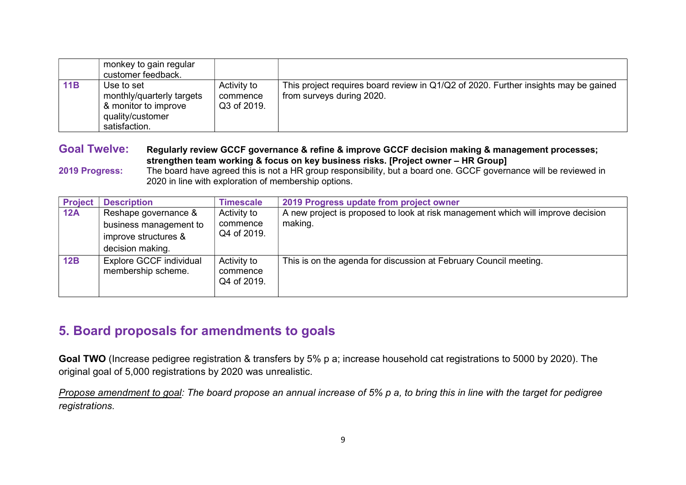|     | monkey to gain regular<br>customer feedback.                                                         |                                        |                                                                                                                  |
|-----|------------------------------------------------------------------------------------------------------|----------------------------------------|------------------------------------------------------------------------------------------------------------------|
| 11B | Use to set<br>monthly/quarterly targets<br>& monitor to improve<br>quality/customer<br>satisfaction. | Activity to<br>commence<br>Q3 of 2019. | This project requires board review in Q1/Q2 of 2020. Further insights may be gained<br>from surveys during 2020. |

**Goal Twelve: Regularly review GCCF governance & refine & improve GCCF decision making & management processes; strengthen team working & focus on key business risks. [Project owner – HR Group]** 

**2019 Progress:** The board have agreed this is not a HR group responsibility, but a board one. GCCF governance will be reviewed in 2020 in line with exploration of membership options.

| <b>Project</b> | <b>Description</b>                                                                         | <b>Timescale</b>                       | 2019 Progress update from project owner                                                     |
|----------------|--------------------------------------------------------------------------------------------|----------------------------------------|---------------------------------------------------------------------------------------------|
| 12A            | Reshape governance &<br>business management to<br>improve structures &<br>decision making. | Activity to<br>commence<br>Q4 of 2019. | A new project is proposed to look at risk management which will improve decision<br>making. |
| 12B            | Explore GCCF individual<br>membership scheme.                                              | Activity to<br>commence<br>Q4 of 2019. | This is on the agenda for discussion at February Council meeting.                           |

## **5. Board proposals for amendments to goals**

**Goal TWO** (Increase pedigree registration & transfers by 5% p a; increase household cat registrations to 5000 by 2020). The original goal of 5,000 registrations by 2020 was unrealistic.

*Propose amendment to goal: The board propose an annual increase of 5% p a, to bring this in line with the target for pedigree registrations.*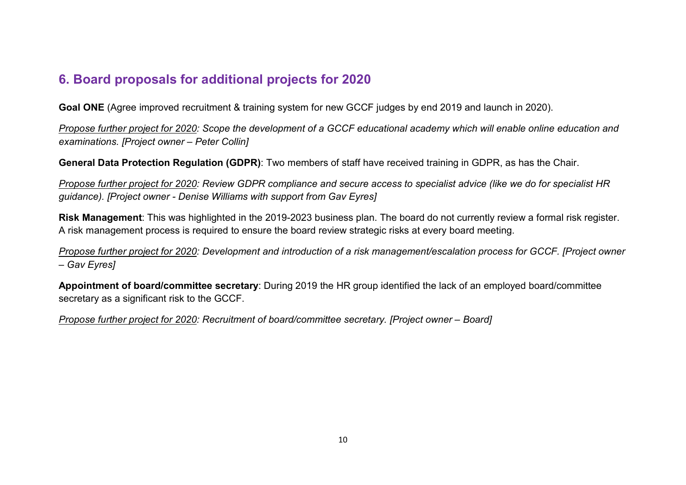# **6. Board proposals for additional projects for 2020**

**Goal ONE** (Agree improved recruitment & training system for new GCCF judges by end 2019 and launch in 2020).

*Propose further project for 2020: Scope the development of a GCCF educational academy which will enable online education and examinations. [Project owner – Peter Collin]* 

**General Data Protection Regulation (GDPR)**: Two members of staff have received training in GDPR, as has the Chair.

*Propose further project for 2020: Review GDPR compliance and secure access to specialist advice (like we do for specialist HR guidance). [Project owner - Denise Williams with support from Gav Eyres]* 

**Risk Management**: This was highlighted in the 2019-2023 business plan. The board do not currently review a formal risk register. A risk management process is required to ensure the board review strategic risks at every board meeting.

*Propose further project for 2020: Development and introduction of a risk management/escalation process for GCCF. [Project owner – Gav Eyres]* 

**Appointment of board/committee secretary**: During 2019 the HR group identified the lack of an employed board/committee secretary as a significant risk to the GCCF.

*Propose further project for 2020: Recruitment of board/committee secretary. [Project owner – Board]*